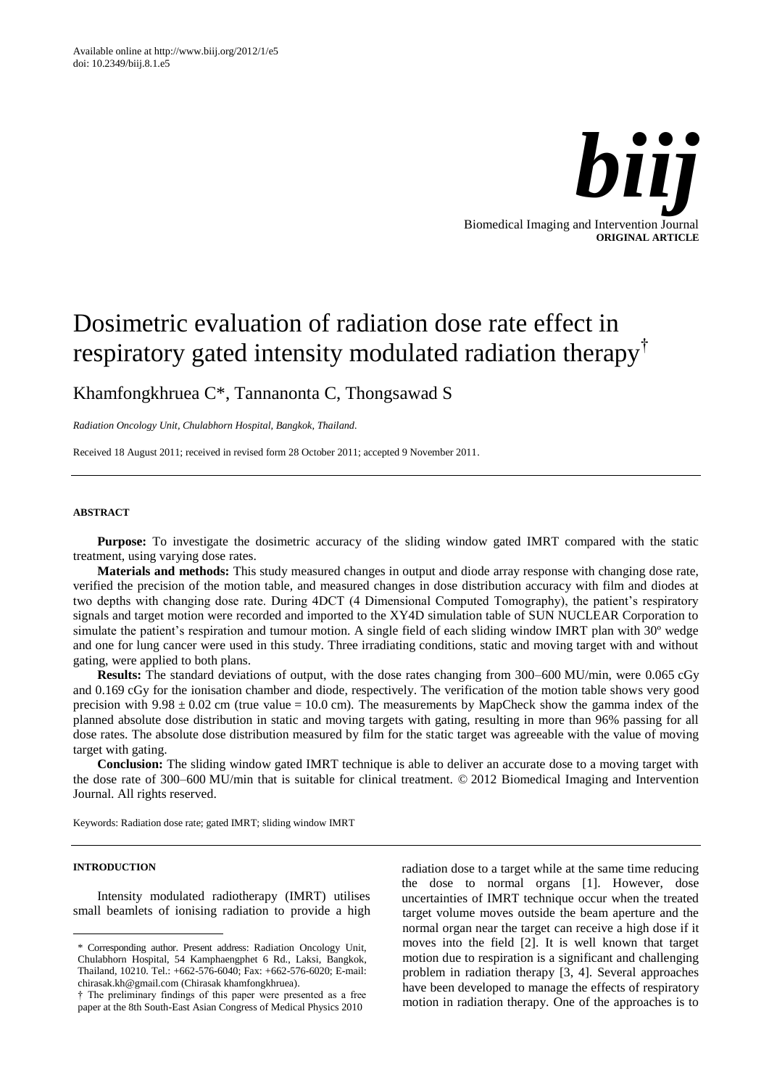

# Dosimetric evaluation of radiation dose rate effect in respiratory gated intensity modulated radiation therapy†

Khamfongkhruea C\*, Tannanonta C, Thongsawad S

*Radiation Oncology Unit, Chulabhorn Hospital, Bangkok, Thailand.*

Received 18 August 2011; received in revised form 28 October 2011; accepted 9 November 2011.

# **ABSTRACT**

**Purpose:** To investigate the dosimetric accuracy of the sliding window gated IMRT compared with the static treatment, using varying dose rates.

**Materials and methods:** This study measured changes in output and diode array response with changing dose rate, verified the precision of the motion table, and measured changes in dose distribution accuracy with film and diodes at two depths with changing dose rate. During 4DCT (4 Dimensional Computed Tomography), the patient's respiratory signals and target motion were recorded and imported to the XY4D simulation table of SUN NUCLEAR Corporation to simulate the patient's respiration and tumour motion. A single field of each sliding window IMRT plan with 30<sup>°</sup> wedge and one for lung cancer were used in this study. Three irradiating conditions, static and moving target with and without gating, were applied to both plans.

**Results:** The standard deviations of output, with the dose rates changing from 300–600 MU/min, were 0.065 cGy and 0.169 cGy for the ionisation chamber and diode, respectively. The verification of the motion table shows very good precision with  $9.98 \pm 0.02$  cm (true value = 10.0 cm). The measurements by MapCheck show the gamma index of the planned absolute dose distribution in static and moving targets with gating, resulting in more than 96% passing for all dose rates. The absolute dose distribution measured by film for the static target was agreeable with the value of moving target with gating.

**Conclusion:** The sliding window gated IMRT technique is able to deliver an accurate dose to a moving target with the dose rate of 300–600 MU/min that is suitable for clinical treatment. © 2012 Biomedical Imaging and Intervention Journal. All rights reserved.

Keywords: Radiation dose rate; gated IMRT; sliding window IMRT

# **INTRODUCTION**

Intensity modulated radiotherapy (IMRT) utilises small beamlets of ionising radiation to provide a high radiation dose to a target while at the same time reducing the dose to normal organs [1]. However, dose uncertainties of IMRT technique occur when the treated target volume moves outside the beam aperture and the normal organ near the target can receive a high dose if it moves into the field [2]. It is well known that target motion due to respiration is a significant and challenging problem in radiation therapy [3, 4]. Several approaches have been developed to manage the effects of respiratory motion in radiation therapy. One of the approaches is to

<sup>\*</sup> Corresponding author. Present address: Radiation Oncology Unit, Chulabhorn Hospital, 54 Kamphaengphet 6 Rd., Laksi, Bangkok, Thailand, 10210. Tel.: +662-576-6040; Fax: +662-576-6020; E-mail: chirasak.kh@gmail.com (Chirasak khamfongkhruea).

<sup>†</sup> The preliminary findings of this paper were presented as a free paper at the 8th South-East Asian Congress of Medical Physics 2010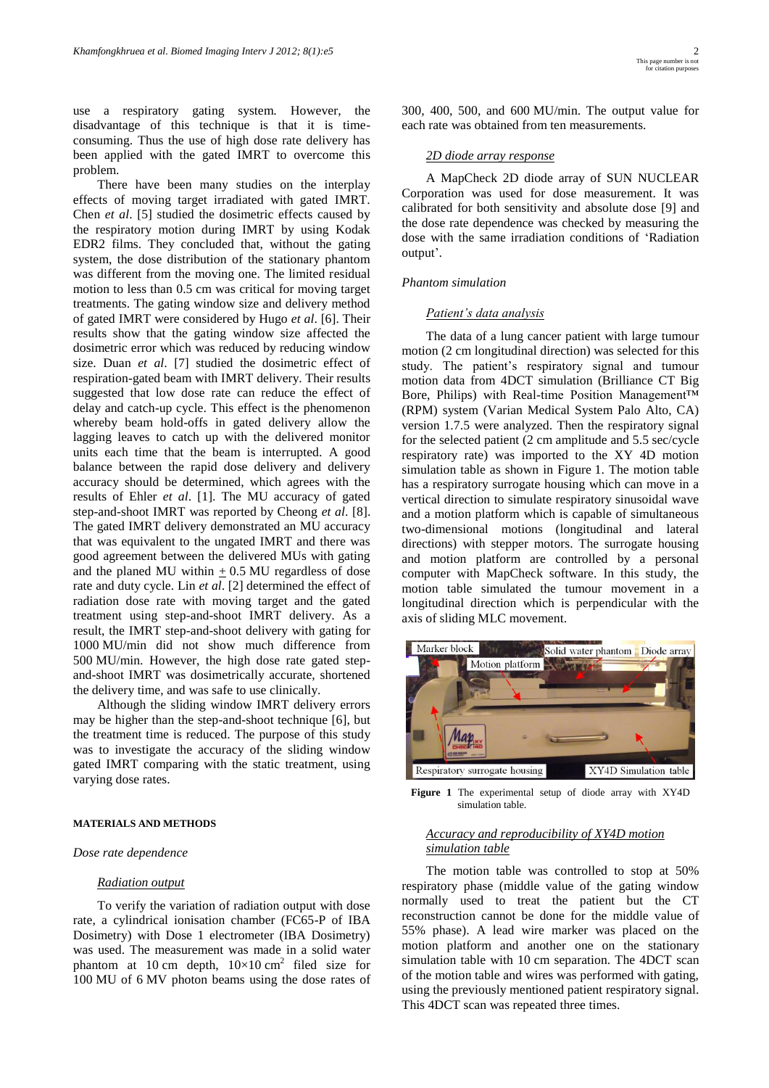use a respiratory gating system. However, the disadvantage of this technique is that it is timeconsuming. Thus the use of high dose rate delivery has been applied with the gated IMRT to overcome this problem.

There have been many studies on the interplay effects of moving target irradiated with gated IMRT. Chen *et al*. [5] studied the dosimetric effects caused by the respiratory motion during IMRT by using Kodak EDR2 films. They concluded that, without the gating system, the dose distribution of the stationary phantom was different from the moving one. The limited residual motion to less than 0.5 cm was critical for moving target treatments. The gating window size and delivery method of gated IMRT were considered by Hugo *et al*. [6]. Their results show that the gating window size affected the dosimetric error which was reduced by reducing window size. Duan *et al*. [7] studied the dosimetric effect of respiration-gated beam with IMRT delivery. Their results suggested that low dose rate can reduce the effect of delay and catch-up cycle. This effect is the phenomenon whereby beam hold-offs in gated delivery allow the lagging leaves to catch up with the delivered monitor units each time that the beam is interrupted. A good balance between the rapid dose delivery and delivery accuracy should be determined, which agrees with the results of Ehler *et al*. [1]. The MU accuracy of gated step-and-shoot IMRT was reported by Cheong *et al*. [8]. The gated IMRT delivery demonstrated an MU accuracy that was equivalent to the ungated IMRT and there was good agreement between the delivered MUs with gating and the planed MU within  $\pm$  0.5 MU regardless of dose rate and duty cycle. Lin *et al*. [2] determined the effect of radiation dose rate with moving target and the gated treatment using step-and-shoot IMRT delivery. As a result, the IMRT step-and-shoot delivery with gating for 1000 MU/min did not show much difference from 500 MU/min. However, the high dose rate gated stepand-shoot IMRT was dosimetrically accurate, shortened the delivery time, and was safe to use clinically.

Although the sliding window IMRT delivery errors may be higher than the step-and-shoot technique [6], but the treatment time is reduced. The purpose of this study was to investigate the accuracy of the sliding window gated IMRT comparing with the static treatment, using varying dose rates.

## **MATERIALS AND METHODS**

*Dose rate dependence*

#### *Radiation output*

To verify the variation of radiation output with dose rate, a cylindrical ionisation chamber (FC65-P of IBA Dosimetry) with Dose 1 electrometer (IBA Dosimetry) was used. The measurement was made in a solid water phantom at 10 cm depth,  $10 \times 10 \text{ cm}^2$  filed size for 100 MU of 6 MV photon beams using the dose rates of

300, 400, 500, and 600 MU/min. The output value for each rate was obtained from ten measurements.

# *2D diode array response*

A MapCheck 2D diode array of SUN NUCLEAR Corporation was used for dose measurement. It was calibrated for both sensitivity and absolute dose [9] and the dose rate dependence was checked by measuring the dose with the same irradiation conditions of 'Radiation output'.

## *Phantom simulation*

#### *Patient's data analysis*

The data of a lung cancer patient with large tumour motion (2 cm longitudinal direction) was selected for this study. The patient's respiratory signal and tumour motion data from 4DCT simulation (Brilliance CT Big Bore, Philips) with Real-time Position Management™ (RPM) system (Varian Medical System Palo Alto, CA) version 1.7.5 were analyzed. Then the respiratory signal for the selected patient (2 cm amplitude and 5.5 sec/cycle respiratory rate) was imported to the XY 4D motion simulation table as shown in Figure 1. The motion table has a respiratory surrogate housing which can move in a vertical direction to simulate respiratory sinusoidal wave and a motion platform which is capable of simultaneous two-dimensional motions (longitudinal and lateral directions) with stepper motors. The surrogate housing and motion platform are controlled by a personal computer with MapCheck software. In this study, the motion table simulated the tumour movement in a longitudinal direction which is perpendicular with the axis of sliding MLC movement.



**Figure 1** The experimental setup of diode array with XY4D simulation table.

# *Accuracy and reproducibility of XY4D motion simulation table*

The motion table was controlled to stop at 50% respiratory phase (middle value of the gating window normally used to treat the patient but the CT reconstruction cannot be done for the middle value of 55% phase). A lead wire marker was placed on the motion platform and another one on the stationary simulation table with 10 cm separation. The 4DCT scan of the motion table and wires was performed with gating, using the previously mentioned patient respiratory signal. This 4DCT scan was repeated three times.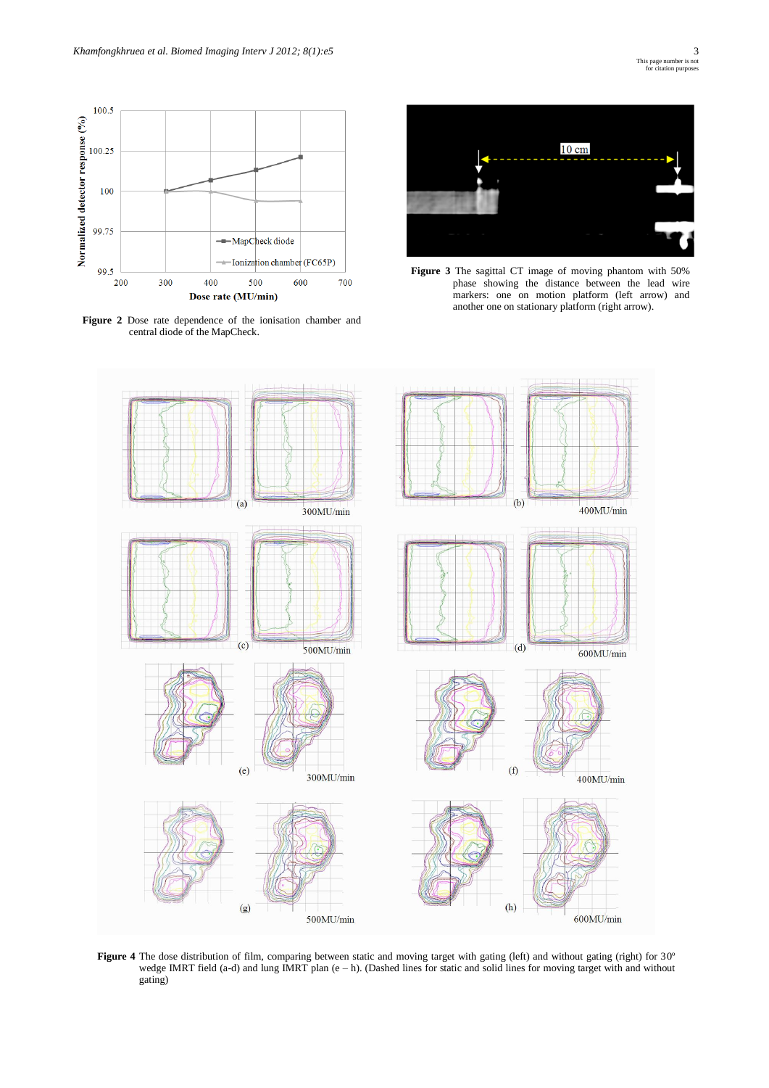

**Figure 2** Dose rate dependence of the ionisation chamber and central diode of the MapCheck.



**Figure 3** The sagittal CT image of moving phantom with 50% phase showing the distance between the lead wire markers: one on motion platform (left arrow) and another one on stationary platform (right arrow).



Figure 4 The dose distribution of film, comparing between static and moving target with gating (left) and without gating (right) for 30° wedge IMRT field (a-d) and lung IMRT plan (e – h). (Dashed lines for static and solid lines for moving target with and without gating)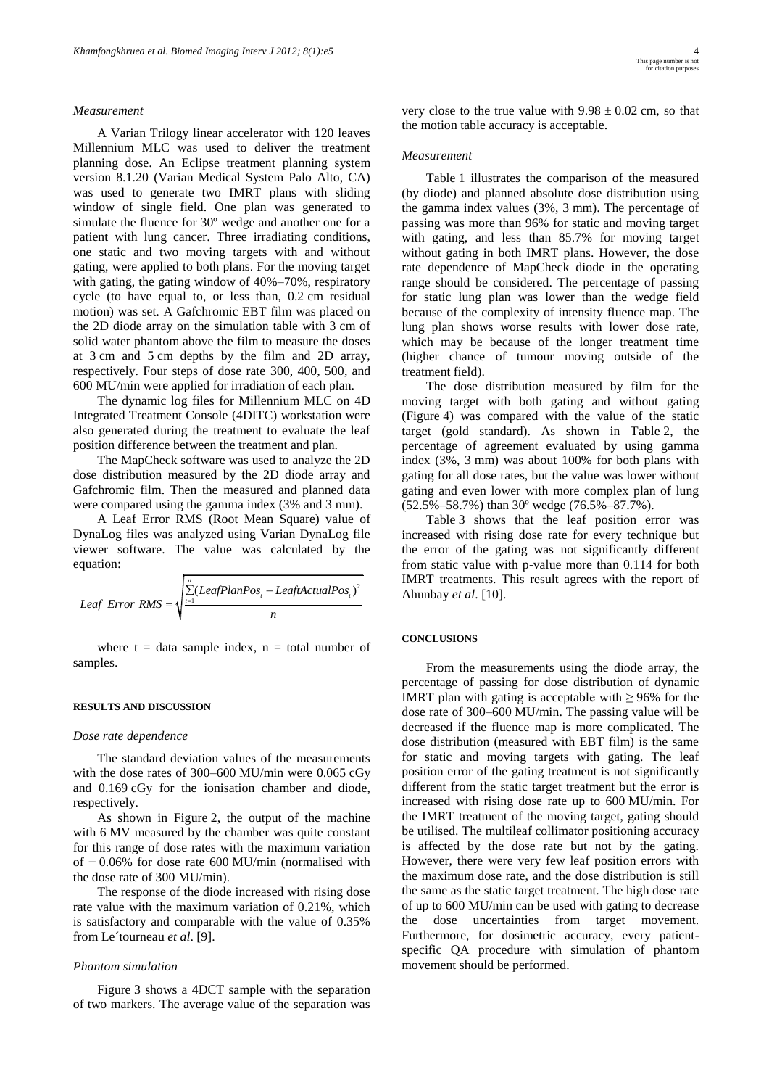## *Measurement*

A Varian Trilogy linear accelerator with 120 leaves Millennium MLC was used to deliver the treatment planning dose. An Eclipse treatment planning system version 8.1.20 (Varian Medical System Palo Alto, CA) was used to generate two IMRT plans with sliding window of single field. One plan was generated to simulate the fluence for 30º wedge and another one for a patient with lung cancer. Three irradiating conditions, one static and two moving targets with and without gating, were applied to both plans. For the moving target with gating, the gating window of 40%–70%, respiratory cycle (to have equal to, or less than, 0.2 cm residual motion) was set. A Gafchromic EBT film was placed on the 2D diode array on the simulation table with 3 cm of solid water phantom above the film to measure the doses at 3 cm and 5 cm depths by the film and 2D array, respectively. Four steps of dose rate 300, 400, 500, and 600 MU/min were applied for irradiation of each plan.

The dynamic log files for Millennium MLC on 4D Integrated Treatment Console (4DITC) workstation were also generated during the treatment to evaluate the leaf position difference between the treatment and plan.

The MapCheck software was used to analyze the 2D dose distribution measured by the 2D diode array and Gafchromic film. Then the measured and planned data were compared using the gamma index (3% and 3 mm).

A Leaf Error RMS (Root Mean Square) value of DynaLog files was analyzed using Varian DynaLog file viewer software. The value was calculated by the equation:

equation:  
Leaf Error RMS = 
$$
\sqrt{\sum_{t=1}^{n} (LeafPlanPos_t - LeftActualPos_t)^2}{n}
$$

where  $t = data$  sample index,  $n = total$  number of samples.

#### **RESULTS AND DISCUSSION**

#### *Dose rate dependence*

The standard deviation values of the measurements with the dose rates of 300–600 MU/min were 0.065 cGy and 0.169 cGy for the ionisation chamber and diode, respectively.

As shown in Figure 2, the output of the machine with 6 MV measured by the chamber was quite constant for this range of dose rates with the maximum variation of − 0.06% for dose rate 600 MU/min (normalised with the dose rate of 300 MU/min).

The response of the diode increased with rising dose rate value with the maximum variation of 0.21%, which is satisfactory and comparable with the value of 0.35% from Le´tourneau *et al*. [9].

#### *Phantom simulation*

Figure 3 shows a 4DCT sample with the separation of two markers. The average value of the separation was

very close to the true value with  $9.98 \pm 0.02$  cm, so that the motion table accuracy is acceptable.

### *Measurement*

Table 1 illustrates the comparison of the measured (by diode) and planned absolute dose distribution using the gamma index values (3%, 3 mm). The percentage of passing was more than 96% for static and moving target with gating, and less than 85.7% for moving target without gating in both IMRT plans. However, the dose rate dependence of MapCheck diode in the operating range should be considered. The percentage of passing for static lung plan was lower than the wedge field because of the complexity of intensity fluence map. The lung plan shows worse results with lower dose rate, which may be because of the longer treatment time (higher chance of tumour moving outside of the treatment field).

The dose distribution measured by film for the moving target with both gating and without gating (Figure 4) was compared with the value of the static target (gold standard). As shown in Table 2, the percentage of agreement evaluated by using gamma index (3%, 3 mm) was about 100% for both plans with gating for all dose rates, but the value was lower without gating and even lower with more complex plan of lung (52.5%–58.7%) than 30º wedge (76.5%–87.7%).

Table 3 shows that the leaf position error was increased with rising dose rate for every technique but the error of the gating was not significantly different from static value with p-value more than 0.114 for both IMRT treatments. This result agrees with the report of Ahunbay *et al*. [10].

## **CONCLUSIONS**

From the measurements using the diode array, the percentage of passing for dose distribution of dynamic IMRT plan with gating is acceptable with  $\geq$  96% for the dose rate of 300–600 MU/min. The passing value will be decreased if the fluence map is more complicated. The dose distribution (measured with EBT film) is the same for static and moving targets with gating. The leaf position error of the gating treatment is not significantly different from the static target treatment but the error is increased with rising dose rate up to 600 MU/min. For the IMRT treatment of the moving target, gating should be utilised. The multileaf collimator positioning accuracy is affected by the dose rate but not by the gating. However, there were very few leaf position errors with the maximum dose rate, and the dose distribution is still the same as the static target treatment. The high dose rate of up to 600 MU/min can be used with gating to decrease the dose uncertainties from target movement. Furthermore, for dosimetric accuracy, every patientspecific QA procedure with simulation of phantom movement should be performed.